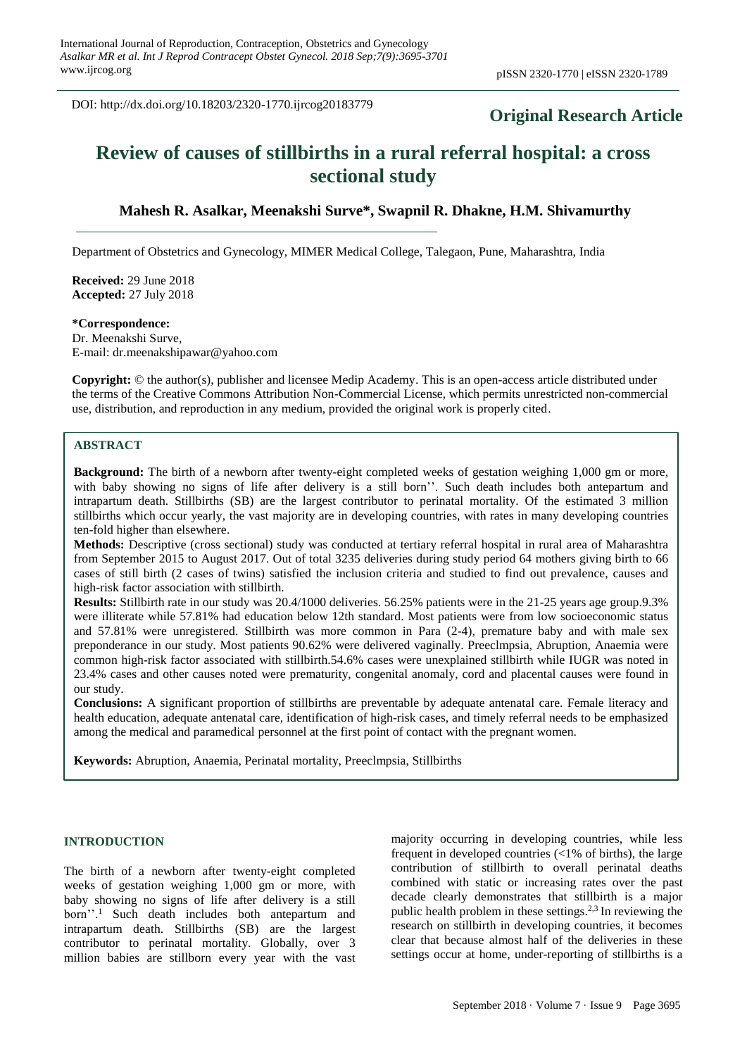DOI: http://dx.doi.org/10.18203/2320-1770.ijrcog20183779

## **Original Research Article**

# **Review of causes of stillbirths in a rural referral hospital: a cross sectional study**

## **Mahesh R. Asalkar, Meenakshi Surve\*, Swapnil R. Dhakne, H.M. Shivamurthy**

Department of Obstetrics and Gynecology, MIMER Medical College, Talegaon, Pune, Maharashtra, India

**Received:** 29 June 2018 **Accepted:** 27 July 2018

**\*Correspondence:**

Dr. Meenakshi Surve, E-mail: dr.meenakshipawar@yahoo.com

**Copyright:** © the author(s), publisher and licensee Medip Academy. This is an open-access article distributed under the terms of the Creative Commons Attribution Non-Commercial License, which permits unrestricted non-commercial use, distribution, and reproduction in any medium, provided the original work is properly cited.

## **ABSTRACT**

**Background:** The birth of a newborn after twenty-eight completed weeks of gestation weighing 1,000 gm or more, with baby showing no signs of life after delivery is a still born''. Such death includes both antepartum and intrapartum death. Stillbirths (SB) are the largest contributor to perinatal mortality. Of the estimated 3 million stillbirths which occur yearly, the vast majority are in developing countries, with rates in many developing countries ten-fold higher than elsewhere.

**Methods:** Descriptive (cross sectional) study was conducted at tertiary referral hospital in rural area of Maharashtra from September 2015 to August 2017. Out of total 3235 deliveries during study period 64 mothers giving birth to 66 cases of still birth (2 cases of twins) satisfied the inclusion criteria and studied to find out prevalence, causes and high-risk factor association with stillbirth.

**Results:** Stillbirth rate in our study was 20.4/1000 deliveries. 56.25% patients were in the 21-25 years age group.9.3% were illiterate while 57.81% had education below 12th standard. Most patients were from low socioeconomic status and 57.81% were unregistered. Stillbirth was more common in Para (2-4), premature baby and with male sex preponderance in our study. Most patients 90.62% were delivered vaginally. Preeclmpsia, Abruption, Anaemia were common high-risk factor associated with stillbirth.54.6% cases were unexplained stillbirth while IUGR was noted in 23.4% cases and other causes noted were prematurity, congenital anomaly, cord and placental causes were found in our study.

**Conclusions:** A significant proportion of stillbirths are preventable by adequate antenatal care. Female literacy and health education, adequate antenatal care, identification of high-risk cases, and timely referral needs to be emphasized among the medical and paramedical personnel at the first point of contact with the pregnant women.

**Keywords:** Abruption, Anaemia, Perinatal mortality, Preeclmpsia, Stillbirths

## **INTRODUCTION**

The birth of a newborn after twenty-eight completed weeks of gestation weighing 1,000 gm or more, with baby showing no signs of life after delivery is a still born''.<sup>1</sup> Such death includes both antepartum and intrapartum death. Stillbirths (SB) are the largest contributor to perinatal mortality. Globally, over 3 million babies are stillborn every year with the vast majority occurring in developing countries, while less frequent in developed countries  $\left($  < 1% of births), the large contribution of stillbirth to overall perinatal deaths combined with static or increasing rates over the past decade clearly demonstrates that stillbirth is a major public health problem in these settings.<sup>2,3</sup> In reviewing the research on stillbirth in developing countries, it becomes clear that because almost half of the deliveries in these settings occur at home, under-reporting of stillbirths is a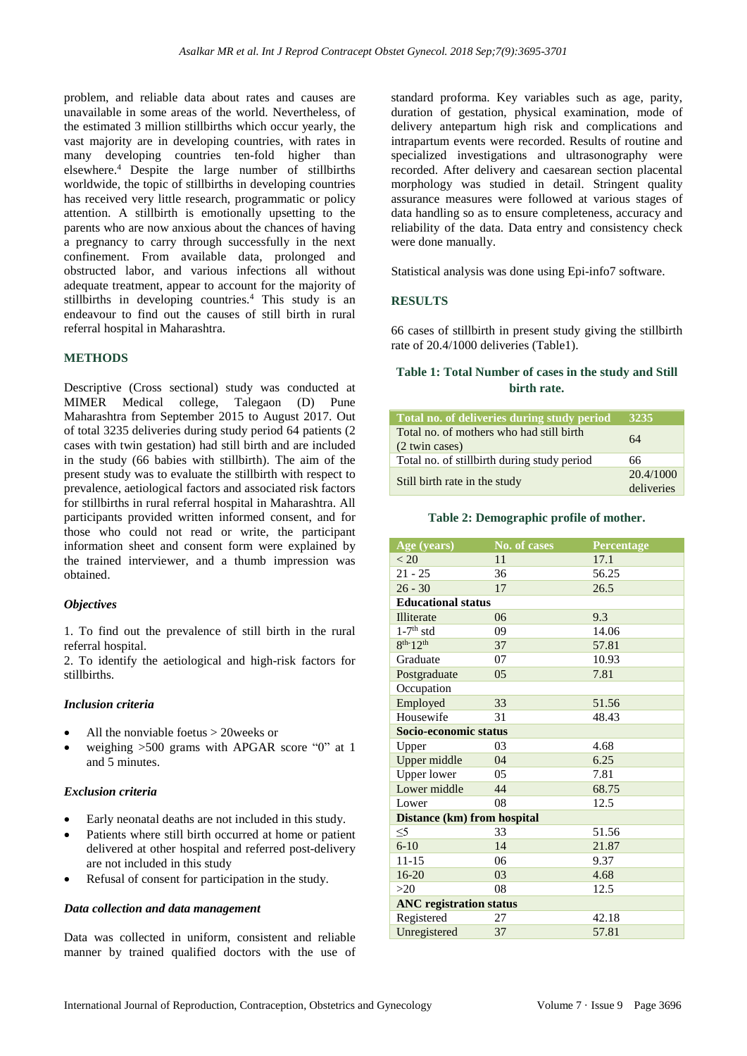problem, and reliable data about rates and causes are unavailable in some areas of the world. Nevertheless, of the estimated 3 million stillbirths which occur yearly, the vast majority are in developing countries, with rates in many developing countries ten-fold higher than elsewhere.<sup>4</sup> Despite the large number of stillbirths worldwide, the topic of stillbirths in developing countries has received very little research, programmatic or policy attention. A stillbirth is emotionally upsetting to the parents who are now anxious about the chances of having a pregnancy to carry through successfully in the next confinement. From available data, prolonged and obstructed labor, and various infections all without adequate treatment, appear to account for the majority of stillbirths in developing countries. <sup>4</sup> This study is an endeavour to find out the causes of still birth in rural referral hospital in Maharashtra.

### **METHODS**

Descriptive (Cross sectional) study was conducted at MIMER Medical college, Talegaon (D) Pune Maharashtra from September 2015 to August 2017. Out of total 3235 deliveries during study period 64 patients (2 cases with twin gestation) had still birth and are included in the study (66 babies with stillbirth). The aim of the present study was to evaluate the stillbirth with respect to prevalence, aetiological factors and associated risk factors for stillbirths in rural referral hospital in Maharashtra. All participants provided written informed consent, and for those who could not read or write, the participant information sheet and consent form were explained by the trained interviewer, and a thumb impression was obtained.

#### *Objectives*

1. To find out the prevalence of still birth in the rural referral hospital.

2. To identify the aetiological and high-risk factors for stillbirths.

#### *Inclusion criteria*

- All the nonviable foetus > 20weeks or
- weighing  $>500$  grams with APGAR score "0" at 1 and 5 minutes.

#### *Exclusion criteria*

- Early neonatal deaths are not included in this study.
- Patients where still birth occurred at home or patient delivered at other hospital and referred post-delivery are not included in this study
- Refusal of consent for participation in the study.

#### *Data collection and data management*

Data was collected in uniform, consistent and reliable manner by trained qualified doctors with the use of standard proforma. Key variables such as age, parity, duration of gestation, physical examination, mode of delivery antepartum high risk and complications and intrapartum events were recorded. Results of routine and specialized investigations and ultrasonography were recorded. After delivery and caesarean section placental morphology was studied in detail. Stringent quality assurance measures were followed at various stages of data handling so as to ensure completeness, accuracy and reliability of the data. Data entry and consistency check were done manually.

Statistical analysis was done using Epi-info7 software.

#### **RESULTS**

66 cases of stillbirth in present study giving the stillbirth rate of 20.4/1000 deliveries (Table1).

## **Table 1: Total Number of cases in the study and Still birth rate.**

| Total no. of deliveries during study period                | <b>3235</b>             |
|------------------------------------------------------------|-------------------------|
| Total no. of mothers who had still birth<br>(2 twin cases) | 64                      |
| Total no. of still birth during study period               | 66                      |
| Still birth rate in the study                              | 20.4/1000<br>deliveries |

**Table 2: Demographic profile of mother.**

| Age (years)                        | No. of cases | Percentage |  |  |  |
|------------------------------------|--------------|------------|--|--|--|
| < 20                               | 11           | 17.1       |  |  |  |
| $21 - 25$                          | 36           | 56.25      |  |  |  |
| $26 - 30$                          | 17           | 26.5       |  |  |  |
| <b>Educational status</b>          |              |            |  |  |  |
| <b>Illiterate</b>                  | 06           | 9.3        |  |  |  |
| $1-7$ <sup>th</sup> std            | 09           | 14.06      |  |  |  |
| $8^{th-12^{th}}$                   | 37           | 57.81      |  |  |  |
| Graduate                           | 07           | 10.93      |  |  |  |
| Postgraduate                       | 05           | 7.81       |  |  |  |
| Occupation                         |              |            |  |  |  |
| Employed                           | 33           | 51.56      |  |  |  |
| Housewife                          | 31           | 48.43      |  |  |  |
| Socio-economic status              |              |            |  |  |  |
| Upper                              | 03           | 4.68       |  |  |  |
| Upper middle                       | 04           | 6.25       |  |  |  |
| <b>Upper lower</b>                 | 05           | 7.81       |  |  |  |
| Lower middle                       | 44           | 68.75      |  |  |  |
| Lower                              | 08           | 12.5       |  |  |  |
| <b>Distance (km) from hospital</b> |              |            |  |  |  |
| $\leq 5$                           | 33           | 51.56      |  |  |  |
| $6 - 10$                           | 14           | 21.87      |  |  |  |
| $11 - 15$                          | 06           | 9.37       |  |  |  |
| $16 - 20$                          | 03           | 4.68       |  |  |  |
| >20                                | 08           | 12.5       |  |  |  |
| <b>ANC</b> registration status     |              |            |  |  |  |
| Registered                         | 27           | 42.18      |  |  |  |
| Unregistered                       | 37           | 57.81      |  |  |  |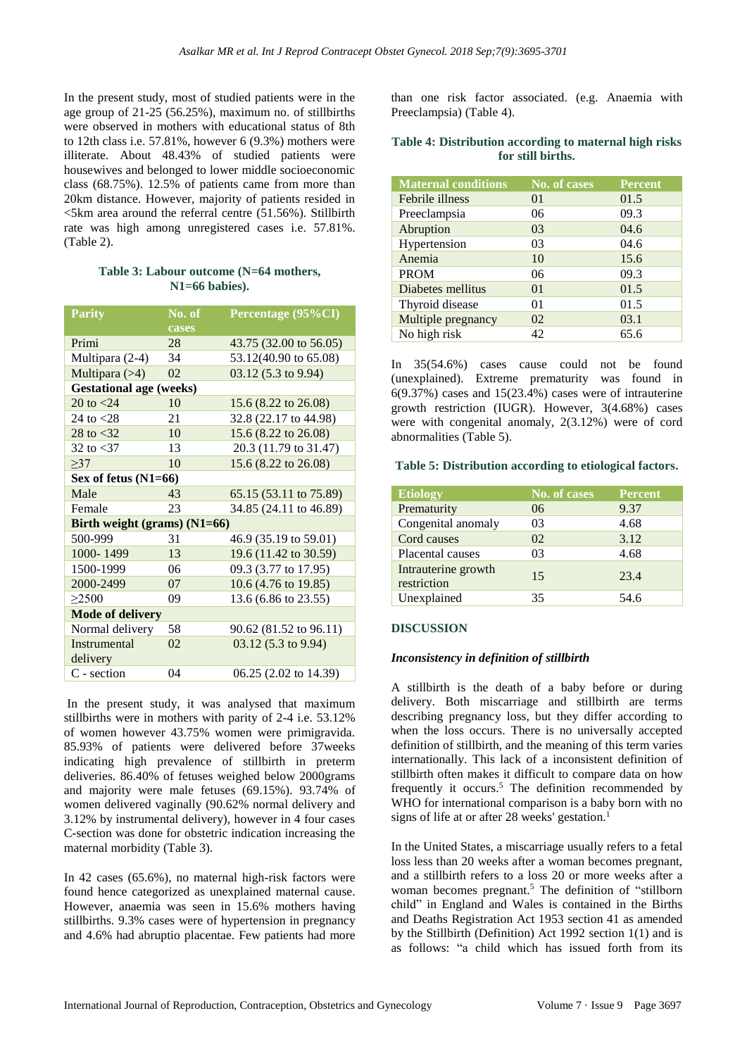In the present study, most of studied patients were in the age group of 21-25 (56.25%), maximum no. of stillbirths were observed in mothers with educational status of 8th to 12th class i.e. 57.81%, however 6 (9.3%) mothers were illiterate. About 48.43% of studied patients were housewives and belonged to lower middle socioeconomic class (68.75%). 12.5% of patients came from more than 20km distance. However, majority of patients resided in  $\le$ 5km area around the referral centre (51.56%). Stillbirth rate was high among unregistered cases i.e. 57.81%. (Table 2).

## **Table 3: Labour outcome (N=64 mothers, N1=66 babies).**

| <b>Parity</b>                  | No. of | Percentage (95%CI)     |  |  |  |
|--------------------------------|--------|------------------------|--|--|--|
|                                | cases  |                        |  |  |  |
| Primi                          | 28     | 43.75 (32.00 to 56.05) |  |  |  |
| Multipara (2-4)                | 34     | 53.12(40.90 to 65.08)  |  |  |  |
| Multipara $(>4)$               | 02     | 03.12 (5.3 to 9.94)    |  |  |  |
| <b>Gestational age (weeks)</b> |        |                        |  |  |  |
| 20 to $< 24$                   | 10     | 15.6 (8.22 to 26.08)   |  |  |  |
| 24 to $< 28$                   | 21     | 32.8 (22.17 to 44.98)  |  |  |  |
| 28 to $<$ 32                   | 10     | 15.6 (8.22 to 26.08)   |  |  |  |
| 32 to $<$ 37                   | 13     | 20.3 (11.79 to 31.47)  |  |  |  |
| >37                            | 10     | 15.6 (8.22 to 26.08)   |  |  |  |
| Sex of fetus (N1=66)           |        |                        |  |  |  |
| Male                           | 43     | 65.15 (53.11 to 75.89) |  |  |  |
| Female                         | 23     | 34.85 (24.11 to 46.89) |  |  |  |
| Birth weight (grams) $(N1=66)$ |        |                        |  |  |  |
| 500-999                        | 31     | 46.9 (35.19 to 59.01)  |  |  |  |
| 1000-1499                      | 13     | 19.6 (11.42 to 30.59)  |  |  |  |
| 1500-1999                      | 06     | 09.3 (3.77 to 17.95)   |  |  |  |
| 2000-2499                      | 07     | 10.6 (4.76 to 19.85)   |  |  |  |
| >2500                          | 09     | 13.6 (6.86 to 23.55)   |  |  |  |
| <b>Mode of delivery</b>        |        |                        |  |  |  |
| Normal delivery                | 58     | 90.62 (81.52 to 96.11) |  |  |  |
| <b>Instrumental</b>            | 02     | $03.12$ (5.3 to 9.94)  |  |  |  |
| delivery                       |        |                        |  |  |  |
| C - section                    | 04     | 06.25 (2.02 to 14.39)  |  |  |  |

In the present study, it was analysed that maximum stillbirths were in mothers with parity of 2-4 i.e. 53.12% of women however 43.75% women were primigravida. 85.93% of patients were delivered before 37weeks indicating high prevalence of stillbirth in preterm deliveries. 86.40% of fetuses weighed below 2000grams and majority were male fetuses (69.15%). 93.74% of women delivered vaginally (90.62% normal delivery and 3.12% by instrumental delivery), however in 4 four cases C-section was done for obstetric indication increasing the maternal morbidity (Table 3).

In 42 cases (65.6%), no maternal high-risk factors were found hence categorized as unexplained maternal cause. However, anaemia was seen in 15.6% mothers having stillbirths. 9.3% cases were of hypertension in pregnancy and 4.6% had abruptio placentae. Few patients had more

than one risk factor associated. (e.g. Anaemia with Preeclampsia) (Table 4).

#### **Table 4: Distribution according to maternal high risks for still births.**

| <b>Maternal conditions</b> | No. of cases   | <b>Percent</b> |
|----------------------------|----------------|----------------|
| Febrile illness            | 0 <sub>1</sub> | 01.5           |
| Preeclampsia               | 06             | 09.3           |
| Abruption                  | 03             | 04.6           |
| Hypertension               | 03             | 04.6           |
| Anemia                     | 10             | 15.6           |
| <b>PROM</b>                | 06             | 09.3           |
| Diabetes mellitus          | 0 <sub>1</sub> | 01.5           |
| Thyroid disease            | 01             | 01.5           |
| Multiple pregnancy         | 02             | 03.1           |
| No high risk               | 42             | 65.6           |

In 35(54.6%) cases cause could not be found (unexplained). Extreme prematurity was found in  $6(9.37%)$  cases and  $15(23.4%)$  cases were of intrauterine growth restriction (IUGR). However, 3(4.68%) cases were with congenital anomaly, 2(3.12%) were of cord abnormalities (Table 5).

## **Table 5: Distribution according to etiological factors.**

| <b>Etiology</b>                    | No. of cases | <b>Percent</b> |
|------------------------------------|--------------|----------------|
| Prematurity                        | 06           | 9.37           |
| Congenital anomaly                 | 03           | 4.68           |
| Cord causes                        | 02           | 3.12           |
| Placental causes                   | 03           | 4.68           |
| Intrauterine growth<br>restriction | 15           | 23.4           |
| Unexplained                        | 35           | 54.6           |

### **DISCUSSION**

### *Inconsistency in definition of stillbirth*

A stillbirth is the death of a baby before or during delivery. Both miscarriage and stillbirth are terms describing pregnancy loss, but they differ according to when the loss occurs. There is no universally accepted definition of stillbirth, and the meaning of this term varies internationally. This lack of a inconsistent definition of stillbirth often makes it difficult to compare data on how frequently it occurs.<sup>5</sup> The definition recommended by WHO for international comparison is a baby born with no signs of life at or after 28 weeks' gestation.<sup>1</sup>

In the United States, a miscarriage usually refers to a fetal loss less than 20 weeks after a woman becomes pregnant, and a stillbirth refers to a loss 20 or more weeks after a woman becomes pregnant.<sup>5</sup> The definition of "stillborn" child" in England and Wales is contained in the Births and Deaths Registration Act 1953 section 41 as amended by the Stillbirth (Definition) Act 1992 section 1(1) and is as follows: "a child which has issued forth from its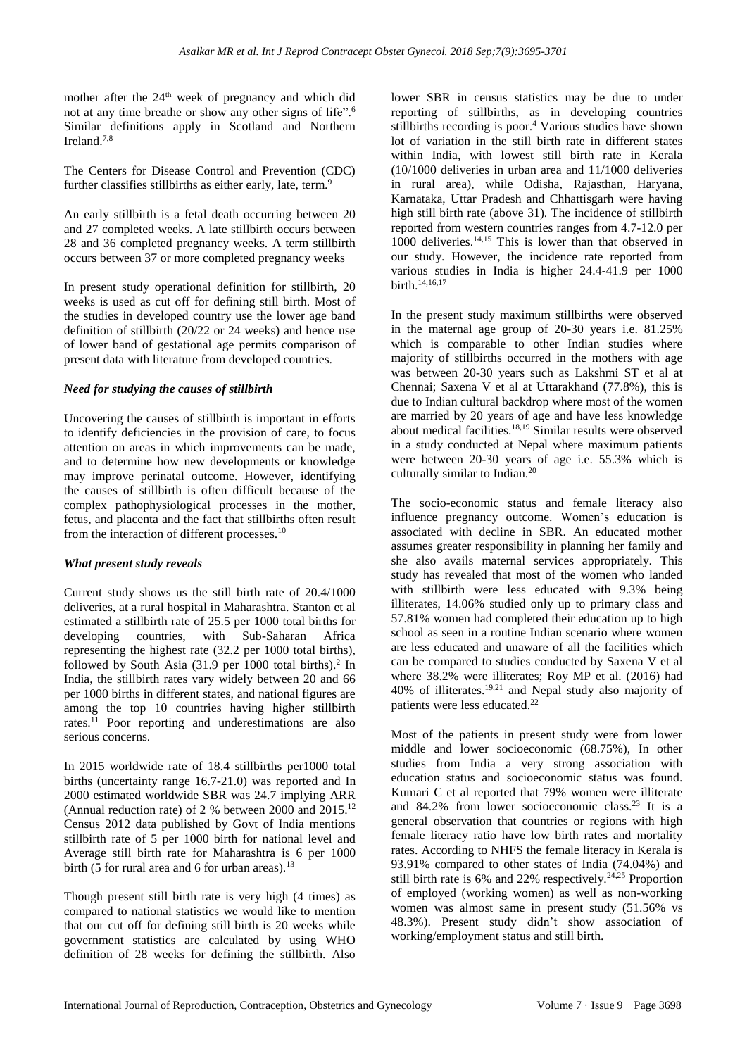mother after the 24<sup>th</sup> week of pregnancy and which did not at any time breathe or show any other signs of life".<sup>6</sup> Similar definitions apply in Scotland and Northern Ireland.7,8

The Centers for Disease Control and Prevention (CDC) further classifies stillbirths as either early, late, term.<sup>9</sup>

An early stillbirth is a fetal death occurring between 20 and 27 completed weeks. A late stillbirth occurs between 28 and 36 completed pregnancy weeks. A term stillbirth occurs between 37 or more completed pregnancy weeks

In present study operational definition for stillbirth, 20 weeks is used as cut off for defining still birth. Most of the studies in developed country use the lower age band definition of stillbirth (20/22 or 24 weeks) and hence use of lower band of gestational age permits comparison of present data with literature from developed countries.

#### *Need for studying the causes of stillbirth*

Uncovering the causes of stillbirth is important in efforts to identify deficiencies in the provision of care, to focus attention on areas in which improvements can be made, and to determine how new developments or knowledge may improve perinatal outcome. However, identifying the causes of stillbirth is often difficult because of the complex pathophysiological processes in the mother, fetus, and placenta and the fact that stillbirths often result from the interaction of different processes.<sup>10</sup>

#### *What present study reveals*

Current study shows us the still birth rate of 20.4/1000 deliveries, at a rural hospital in Maharashtra. Stanton et al estimated a stillbirth rate of 25.5 per 1000 total births for developing countries, with Sub-Saharan Africa representing the highest rate (32.2 per 1000 total births), followed by South Asia  $(31.9 \text{ per } 1000 \text{ total births})$ .<sup>2</sup> In India, the stillbirth rates vary widely between 20 and 66 per 1000 births in different states, and national figures are among the top 10 countries having higher stillbirth rates.<sup>11</sup> Poor reporting and underestimations are also serious concerns.

In 2015 worldwide rate of 18.4 stillbirths per1000 total births (uncertainty range 16.7-21.0) was reported and In 2000 estimated worldwide SBR was 24.7 implying ARR (Annual reduction rate) of 2 % between 2000 and  $2015$ .<sup>12</sup> Census 2012 data published by Govt of India mentions stillbirth rate of 5 per 1000 birth for national level and Average still birth rate for Maharashtra is 6 per 1000 birth (5 for rural area and 6 for urban areas). $13$ 

Though present still birth rate is very high (4 times) as compared to national statistics we would like to mention that our cut off for defining still birth is 20 weeks while government statistics are calculated by using WHO definition of 28 weeks for defining the stillbirth. Also lower SBR in census statistics may be due to under reporting of stillbirths, as in developing countries stillbirths recording is poor.<sup>4</sup> Various studies have shown lot of variation in the still birth rate in different states within India, with lowest still birth rate in Kerala (10/1000 deliveries in urban area and 11/1000 deliveries in rural area), while Odisha, Rajasthan, Haryana, Karnataka, Uttar Pradesh and Chhattisgarh were having high still birth rate (above 31). The incidence of stillbirth reported from western countries ranges from 4.7-12.0 per 1000 deliveries. $14,15$  This is lower than that observed in our study. However, the incidence rate reported from various studies in India is higher 24.4-41.9 per 1000 birth.14,16,17

In the present study maximum stillbirths were observed in the maternal age group of 20-30 years i.e. 81.25% which is comparable to other Indian studies where majority of stillbirths occurred in the mothers with age was between 20-30 years such as Lakshmi ST et al at Chennai; Saxena V et al at Uttarakhand (77.8%), this is due to Indian cultural backdrop where most of the women are married by 20 years of age and have less knowledge about medical facilities.18,19 Similar results were observed in a study conducted at Nepal where maximum patients were between 20-30 years of age i.e. 55.3% which is culturally similar to Indian.<sup>20</sup>

The socio-economic status and female literacy also influence pregnancy outcome. Women's education is associated with decline in SBR. An educated mother assumes greater responsibility in planning her family and she also avails maternal services appropriately. This study has revealed that most of the women who landed with stillbirth were less educated with 9.3% being illiterates, 14.06% studied only up to primary class and 57.81% women had completed their education up to high school as seen in a routine Indian scenario where women are less educated and unaware of all the facilities which can be compared to studies conducted by Saxena V et al where 38.2% were illiterates; Roy MP et al. (2016) had 40% of illiterates.19,21 and Nepal study also majority of patients were less educated.<sup>22</sup>

Most of the patients in present study were from lower middle and lower socioeconomic (68.75%), In other studies from India a very strong association with education status and socioeconomic status was found. Kumari C et al reported that 79% women were illiterate and 84.2% from lower socioeconomic class.<sup>23</sup> It is a general observation that countries or regions with high female literacy ratio have low birth rates and mortality rates. According to NHFS the female literacy in Kerala is 93.91% compared to other states of India (74.04%) and still birth rate is 6% and 22% respectively.<sup>24,25</sup> Proportion of employed (working women) as well as non-working women was almost same in present study (51.56% vs 48.3%). Present study didn't show association of working/employment status and still birth.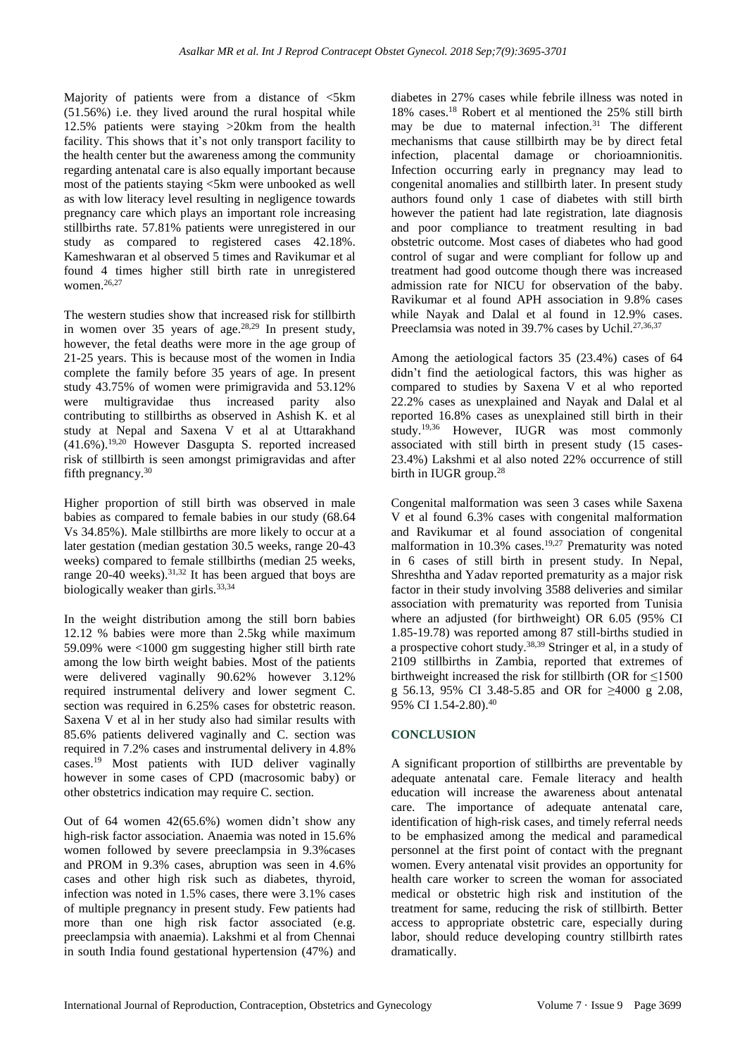Majority of patients were from a distance of  $\leq$ 5km (51.56%) i.e. they lived around the rural hospital while 12.5% patients were staying >20km from the health facility. This shows that it's not only transport facility to the health center but the awareness among the community regarding antenatal care is also equally important because most of the patients staying <5km were unbooked as well as with low literacy level resulting in negligence towards pregnancy care which plays an important role increasing stillbirths rate. 57.81% patients were unregistered in our study as compared to registered cases 42.18%. Kameshwaran et al observed 5 times and Ravikumar et al found 4 times higher still birth rate in unregistered women.26,27

The western studies show that increased risk for stillbirth in women over 35 years of age.<sup>28,29</sup> In present study, however, the fetal deaths were more in the age group of 21-25 years. This is because most of the women in India complete the family before 35 years of age. In present study 43.75% of women were primigravida and 53.12% were multigravidae thus increased parity also contributing to stillbirths as observed in Ashish K. et al study at Nepal and Saxena V et al at Uttarakhand  $(41.6\%)$ .<sup>19,20</sup> However Dasgupta S. reported increased risk of stillbirth is seen amongst primigravidas and after fifth pregnancy.<sup>30</sup>

Higher proportion of still birth was observed in male babies as compared to female babies in our study (68.64 Vs 34.85%). Male stillbirths are more likely to occur at a later gestation (median gestation 30.5 weeks, range 20-43 weeks) compared to female stillbirths (median 25 weeks, range 20-40 weeks).<sup>31,32</sup> It has been argued that boys are biologically weaker than girls.<sup>33,34</sup>

In the weight distribution among the still born babies 12.12 % babies were more than 2.5kg while maximum 59.09% were <1000 gm suggesting higher still birth rate among the low birth weight babies. Most of the patients were delivered vaginally 90.62% however 3.12% required instrumental delivery and lower segment C. section was required in 6.25% cases for obstetric reason. Saxena V et al in her study also had similar results with 85.6% patients delivered vaginally and C. section was required in 7.2% cases and instrumental delivery in 4.8% cases.<sup>19</sup> Most patients with IUD deliver vaginally however in some cases of CPD (macrosomic baby) or other obstetrics indication may require C. section.

Out of 64 women 42(65.6%) women didn't show any high-risk factor association. Anaemia was noted in 15.6% women followed by severe preeclampsia in 9.3%cases and PROM in 9.3% cases, abruption was seen in 4.6% cases and other high risk such as diabetes, thyroid, infection was noted in 1.5% cases, there were 3.1% cases of multiple pregnancy in present study. Few patients had more than one high risk factor associated (e.g. preeclampsia with anaemia). Lakshmi et al from Chennai in south India found gestational hypertension (47%) and diabetes in 27% cases while febrile illness was noted in 18% cases.<sup>18</sup> Robert et al mentioned the 25% still birth may be due to maternal infection. $31$  The different mechanisms that cause stillbirth may be by direct fetal infection, placental damage or chorioamnionitis. Infection occurring early in pregnancy may lead to congenital anomalies and stillbirth later. In present study authors found only 1 case of diabetes with still birth however the patient had late registration, late diagnosis and poor compliance to treatment resulting in bad obstetric outcome. Most cases of diabetes who had good control of sugar and were compliant for follow up and treatment had good outcome though there was increased admission rate for NICU for observation of the baby. Ravikumar et al found APH association in 9.8% cases while Nayak and Dalal et al found in 12.9% cases. Preeclamsia was noted in 39.7% cases by Uchil.<sup>27,36,37</sup>

Among the aetiological factors 35 (23.4%) cases of 64 didn't find the aetiological factors, this was higher as compared to studies by Saxena V et al who reported 22.2% cases as unexplained and Nayak and Dalal et al reported 16.8% cases as unexplained still birth in their study.19,36 However, IUGR was most commonly associated with still birth in present study (15 cases-23.4%) Lakshmi et al also noted 22% occurrence of still birth in IUGR group. 28

Congenital malformation was seen 3 cases while Saxena V et al found 6.3% cases with congenital malformation and Ravikumar et al found association of congenital malformation in  $10.3\%$  cases.<sup>19,27</sup> Prematurity was noted in 6 cases of still birth in present study. In Nepal, Shreshtha and Yadav reported prematurity as a major risk factor in their study involving 3588 deliveries and similar association with prematurity was reported from Tunisia where an adjusted (for birthweight) OR 6.05 (95% CI 1.85-19.78) was reported among 87 still-births studied in a prospective cohort study.<sup>38,39</sup> Stringer et al, in a study of 2109 stillbirths in Zambia, reported that extremes of birthweight increased the risk for stillbirth (OR for  $\leq 1500$ ) g 56.13, 95% CI 3.48-5.85 and OR for ≥4000 g 2.08, 95% CI 1.54-2.80). 40

### **CONCLUSION**

A significant proportion of stillbirths are preventable by adequate antenatal care. Female literacy and health education will increase the awareness about antenatal care. The importance of adequate antenatal care, identification of high-risk cases, and timely referral needs to be emphasized among the medical and paramedical personnel at the first point of contact with the pregnant women. Every antenatal visit provides an opportunity for health care worker to screen the woman for associated medical or obstetric high risk and institution of the treatment for same, reducing the risk of stillbirth. Better access to appropriate obstetric care, especially during labor, should reduce developing country stillbirth rates dramatically.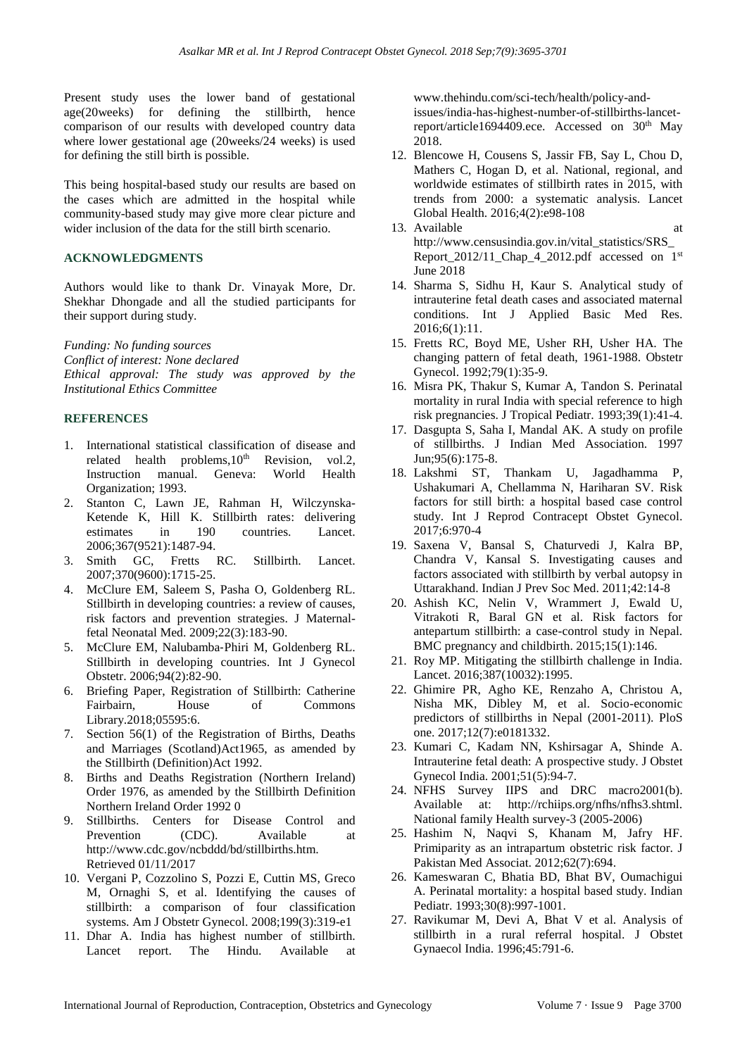Present study uses the lower band of gestational age(20weeks) for defining the stillbirth, hence comparison of our results with developed country data where lower gestational age (20weeks/24 weeks) is used for defining the still birth is possible.

This being hospital-based study our results are based on the cases which are admitted in the hospital while community-based study may give more clear picture and wider inclusion of the data for the still birth scenario.

## **ACKNOWLEDGMENTS**

Authors would like to thank Dr. Vinayak More, Dr. Shekhar Dhongade and all the studied participants for their support during study.

*Funding: No funding sources*

*Conflict of interest: None declared Ethical approval: The study was approved by the Institutional Ethics Committee*

#### **REFERENCES**

- 1. International statistical classification of disease and related health problems,  $10<sup>th</sup>$  Revision, vol.2, Instruction manual. Geneva: World Health Organization; 1993.
- 2. Stanton C, Lawn JE, Rahman H, Wilczynska-Ketende K, Hill K. Stillbirth rates: delivering estimates in 190 countries. Lancet. 2006;367(9521):1487-94.
- 3. Smith GC, Fretts RC. Stillbirth. Lancet. 2007;370(9600):1715-25.
- 4. McClure EM, Saleem S, Pasha O, Goldenberg RL. Stillbirth in developing countries: a review of causes, risk factors and prevention strategies. J Maternalfetal Neonatal Med. 2009;22(3):183-90.
- 5. McClure EM, Nalubamba‐Phiri M, Goldenberg RL. Stillbirth in developing countries. Int J Gynecol Obstetr. 2006;94(2):82-90.
- 6. Briefing Paper, Registration of Stillbirth: Catherine Fairbairn, House of Commons Library.2018;05595:6.
- 7. Section 56(1) of the Registration of Births, Deaths and Marriages (Scotland)Act1965, as amended by the Stillbirth (Definition)Act 1992.
- 8. Births and Deaths Registration (Northern Ireland) Order 1976, as amended by the Stillbirth Definition Northern Ireland Order 1992 0
- 9. Stillbirths. Centers for Disease Control and Prevention (CDC). Available at http://www.cdc.gov/ncbddd/bd/stillbirths.htm. Retrieved 01/11/2017
- 10. Vergani P, Cozzolino S, Pozzi E, Cuttin MS, Greco M, Ornaghi S, et al. Identifying the causes of stillbirth: a comparison of four classification systems. Am J Obstetr Gynecol. 2008;199(3):319-e1
- 11. Dhar A. India has highest number of stillbirth. Lancet report. The Hindu. Available at

www.thehindu.com/sci-tech/health/policy-andissues/india-has-highest-number-of-stillbirths-lancetreport/article1694409.ece. Accessed on 30<sup>th</sup> May 2018.

- 12. Blencowe H, Cousens S, Jassir FB, Say L, Chou D, Mathers C, Hogan D, et al. National, regional, and worldwide estimates of stillbirth rates in 2015, with trends from 2000: a systematic analysis. Lancet Global Health. 2016;4(2):e98-108
- 13. Available at http://www.censusindia.gov.in/vital\_statistics/SRS\_ Report\_2012/11\_Chap\_4\_2012.pdf accessed on 1st June 2018
- 14. Sharma S, Sidhu H, Kaur S. Analytical study of intrauterine fetal death cases and associated maternal conditions. Int J Applied Basic Med Res. 2016;6(1):11.
- 15. Fretts RC, Boyd ME, Usher RH, Usher HA. The changing pattern of fetal death, 1961-1988. Obstetr Gynecol. 1992;79(1):35-9.
- 16. Misra PK, Thakur S, Kumar A, Tandon S. Perinatal mortality in rural India with special reference to high risk pregnancies. J Tropical Pediatr. 1993;39(1):41-4.
- 17. Dasgupta S, Saha I, Mandal AK. A study on profile of stillbirths. J Indian Med Association. 1997 Jun;95(6):175-8.
- 18. Lakshmi ST, Thankam U, Jagadhamma P, Ushakumari A, Chellamma N, Hariharan SV. Risk factors for still birth: a hospital based case control study. Int J Reprod Contracept Obstet Gynecol. 2017;6:970-4
- 19. Saxena V, Bansal S, Chaturvedi J, Kalra BP, Chandra V, Kansal S. Investigating causes and factors associated with stillbirth by verbal autopsy in Uttarakhand. Indian J Prev Soc Med. 2011;42:14-8
- 20. Ashish KC, Nelin V, Wrammert J, Ewald U, Vitrakoti R, Baral GN et al. Risk factors for antepartum stillbirth: a case-control study in Nepal. BMC pregnancy and childbirth. 2015;15(1):146.
- 21. Roy MP. Mitigating the stillbirth challenge in India. Lancet. 2016;387(10032):1995.
- 22. Ghimire PR, Agho KE, Renzaho A, Christou A, Nisha MK, Dibley M, et al. Socio-economic predictors of stillbirths in Nepal (2001-2011). PloS one. 2017;12(7):e0181332.
- 23. Kumari C, Kadam NN, Kshirsagar A, Shinde A. Intrauterine fetal death: A prospective study. J Obstet Gynecol India. 2001;51(5):94-7.
- 24. NFHS Survey IIPS and DRC macro2001(b). Available at: http://rchiips.org/nfhs/nfhs3.shtml. National family Health survey-3 (2005-2006)
- 25. Hashim N, Naqvi S, Khanam M, Jafry HF. Primiparity as an intrapartum obstetric risk factor. J Pakistan Med Associat. 2012;62(7):694.
- 26. Kameswaran C, Bhatia BD, Bhat BV, Oumachigui A. Perinatal mortality: a hospital based study. Indian Pediatr. 1993;30(8):997-1001.
- 27. Ravikumar M, Devi A, Bhat V et al. Analysis of stillbirth in a rural referral hospital. J Obstet Gynaecol India. 1996;45:791-6.